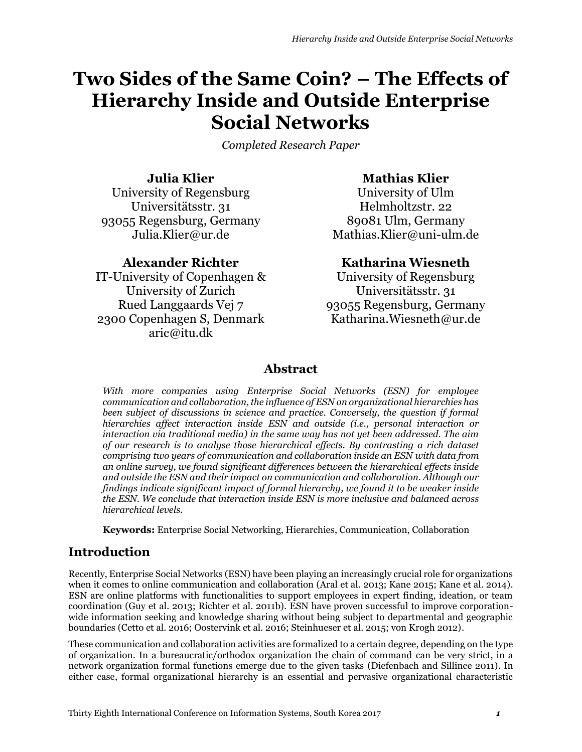# **Two Sides of the Same Coin? – The Effects of Hierarchy Inside and Outside Enterprise Social Networks**

*Completed Research Paper*

**Julia Klier** University of Regensburg Universitätsstr. 31 93055 Regensburg, Germany Julia.Klier@ur.de

# **Alexander Richter**

IT-University of Copenhagen & University of Zurich Rued Langgaards Vej 7 2300 Copenhagen S, Denmark aric@itu.dk

# **Mathias Klier**

University of Ulm Helmholtzstr. 22 89081 Ulm, Germany Mathias.Klier@uni-ulm.de

# **Katharina Wiesneth**

University of Regensburg Universitätsstr. 31 93055 Regensburg, Germany Katharina.Wiesneth@ur.de

# **Abstract**

*With more companies using Enterprise Social Networks (ESN) for employee communication and collaboration, the influence of ESN on organizational hierarchies has*  been subject of discussions in science and practice. Conversely, the question if formal *hierarchies affect interaction inside ESN and outside (i.e., personal interaction or interaction via traditional media) in the same way has not yet been addressed. The aim of our research is to analyse those hierarchical effects. By contrasting a rich dataset comprising two years of communication and collaboration inside an ESN with data from an online survey, we found significant differences between the hierarchical effects inside and outside the ESN and their impact on communication and collaboration. Although our findings indicate significant impact of formal hierarchy, we found it to be weaker inside the ESN. We conclude that interaction inside ESN is more inclusive and balanced across hierarchical levels.*

**Keywords:** Enterprise Social Networking, Hierarchies, Communication, Collaboration

# **Introduction**

Recently, Enterprise Social Networks (ESN) have been playing an increasingly crucial role for organizations when it comes to online communication and collaboration (Aral et al. 2013; Kane 2015; Kane et al. 2014). ESN are online platforms with functionalities to support employees in expert finding, ideation, or team coordination (Guy et al. 2013; Richter et al. 2011b). ESN have proven successful to improve corporationwide information seeking and knowledge sharing without being subject to departmental and geographic boundaries (Cetto et al. 2016; Oostervink et al. 2016; Steinhueser et al. 2015; von Krogh 2012).

These communication and collaboration activities are formalized to a certain degree, depending on the type of organization. In a bureaucratic/orthodox organization the chain of command can be very strict, in a network organization formal functions emerge due to the given tasks (Diefenbach and Sillince 2011). In either case, formal organizational hierarchy is an essential and pervasive organizational characteristic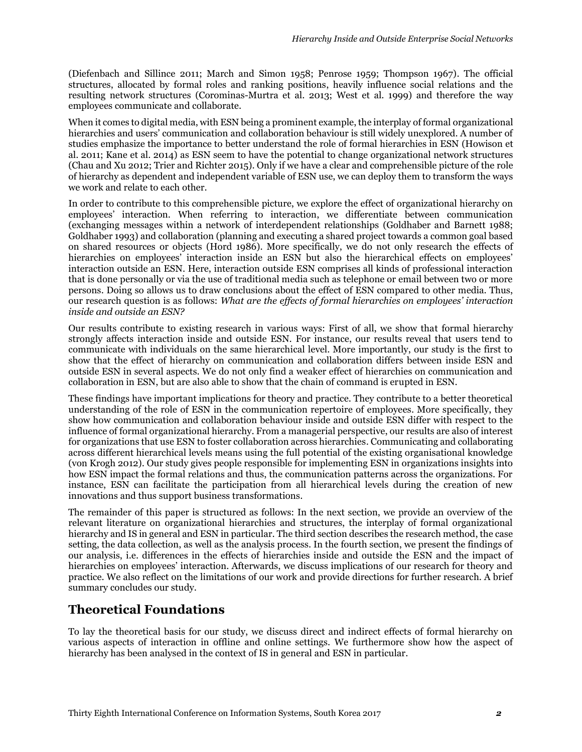(Diefenbach and Sillince 2011; March and Simon 1958; Penrose 1959; Thompson 1967). The official structures, allocated by formal roles and ranking positions, heavily influence social relations and the resulting network structures (Corominas-Murtra et al. 2013; West et al. 1999) and therefore the way employees communicate and collaborate.

When it comes to digital media, with ESN being a prominent example, the interplay of formal organizational hierarchies and users' communication and collaboration behaviour is still widely unexplored. A number of studies emphasize the importance to better understand the role of formal hierarchies in ESN (Howison et al. 2011; Kane et al. 2014) as ESN seem to have the potential to change organizational network structures (Chau and Xu 2012; Trier and Richter 2015). Only if we have a clear and comprehensible picture of the role of hierarchy as dependent and independent variable of ESN use, we can deploy them to transform the ways we work and relate to each other.

In order to contribute to this comprehensible picture, we explore the effect of organizational hierarchy on employees' interaction. When referring to interaction, we differentiate between communication (exchanging messages within a network of interdependent relationships (Goldhaber and Barnett 1988; Goldhaber 1993) and collaboration (planning and executing a shared project towards a common goal based on shared resources or objects (Hord 1986). More specifically, we do not only research the effects of hierarchies on employees' interaction inside an ESN but also the hierarchical effects on employees' interaction outside an ESN. Here, interaction outside ESN comprises all kinds of professional interaction that is done personally or via the use of traditional media such as telephone or email between two or more persons. Doing so allows us to draw conclusions about the effect of ESN compared to other media. Thus, our research question is as follows: *What are the effects of formal hierarchies on employees' interaction inside and outside an ESN?*

Our results contribute to existing research in various ways: First of all, we show that formal hierarchy strongly affects interaction inside and outside ESN. For instance, our results reveal that users tend to communicate with individuals on the same hierarchical level. More importantly, our study is the first to show that the effect of hierarchy on communication and collaboration differs between inside ESN and outside ESN in several aspects. We do not only find a weaker effect of hierarchies on communication and collaboration in ESN, but are also able to show that the chain of command is erupted in ESN.

These findings have important implications for theory and practice. They contribute to a better theoretical understanding of the role of ESN in the communication repertoire of employees. More specifically, they show how communication and collaboration behaviour inside and outside ESN differ with respect to the influence of formal organizational hierarchy. From a managerial perspective, our results are also of interest for organizations that use ESN to foster collaboration across hierarchies. Communicating and collaborating across different hierarchical levels means using the full potential of the existing organisational knowledge (von Krogh 2012). Our study gives people responsible for implementing ESN in organizations insights into how ESN impact the formal relations and thus, the communication patterns across the organizations. For instance, ESN can facilitate the participation from all hierarchical levels during the creation of new innovations and thus support business transformations.

The remainder of this paper is structured as follows: In the next section, we provide an overview of the relevant literature on organizational hierarchies and structures, the interplay of formal organizational hierarchy and IS in general and ESN in particular. The third section describes the research method, the case setting, the data collection, as well as the analysis process. In the fourth section, we present the findings of our analysis, i.e. differences in the effects of hierarchies inside and outside the ESN and the impact of hierarchies on employees' interaction. Afterwards, we discuss implications of our research for theory and practice. We also reflect on the limitations of our work and provide directions for further research. A brief summary concludes our study.

# **Theoretical Foundations**

To lay the theoretical basis for our study, we discuss direct and indirect effects of formal hierarchy on various aspects of interaction in offline and online settings. We furthermore show how the aspect of hierarchy has been analysed in the context of IS in general and ESN in particular.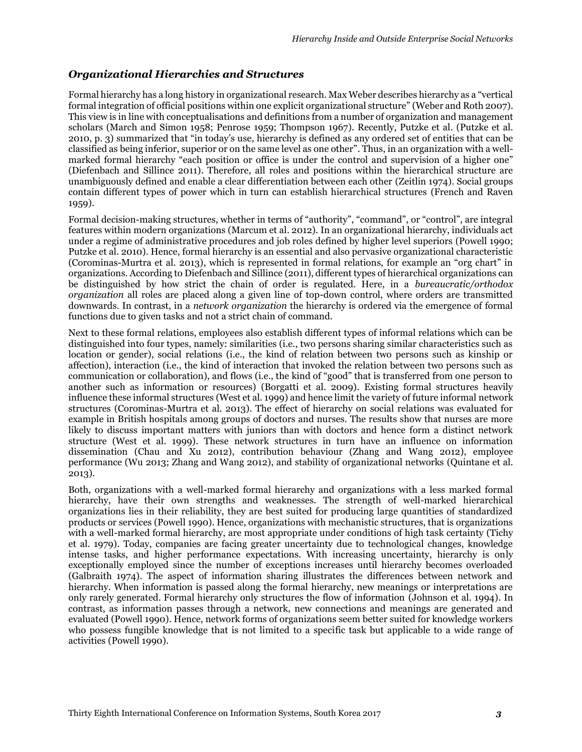#### *Organizational Hierarchies and Structures*

Formal hierarchy has a long history in organizational research. Max Weber describes hierarchy as a "vertical formal integration of official positions within one explicit organizational structure" (Weber and Roth 2007). This view is in line with conceptualisations and definitions from a number of organization and management scholars (March and Simon 1958; Penrose 1959; Thompson 1967). Recently, Putzke et al. (Putzke et al. 2010, p. 3) summarized that "in today's use, hierarchy is defined as any ordered set of entities that can be classified as being inferior, superior or on the same level as one other". Thus, in an organization with a wellmarked formal hierarchy "each position or office is under the control and supervision of a higher one" (Diefenbach and Sillince 2011). Therefore, all roles and positions within the hierarchical structure are unambiguously defined and enable a clear differentiation between each other (Zeitlin 1974). Social groups contain different types of power which in turn can establish hierarchical structures (French and Raven 1959).

Formal decision-making structures, whether in terms of "authority", "command", or "control", are integral features within modern organizations (Marcum et al. 2012). In an organizational hierarchy, individuals act under a regime of administrative procedures and job roles defined by higher level superiors (Powell 1990; Putzke et al. 2010). Hence, formal hierarchy is an essential and also pervasive organizational characteristic (Corominas-Murtra et al. 2013), which is represented in formal relations, for example an "org chart" in organizations. According to Diefenbach and Sillince (2011), different types of hierarchical organizations can be distinguished by how strict the chain of order is regulated. Here, in a *bureaucratic/orthodox organization* all roles are placed along a given line of top-down control, where orders are transmitted downwards. In contrast, in a *network organization* the hierarchy is ordered via the emergence of formal functions due to given tasks and not a strict chain of command.

Next to these formal relations, employees also establish different types of informal relations which can be distinguished into four types, namely: similarities (i.e., two persons sharing similar characteristics such as location or gender), social relations (i.e., the kind of relation between two persons such as kinship or affection), interaction (i.e., the kind of interaction that invoked the relation between two persons such as communication or collaboration), and flows (i.e., the kind of "good" that is transferred from one person to another such as information or resources) (Borgatti et al. 2009). Existing formal structures heavily influence these informal structures (West et al. 1999) and hence limit the variety of future informal network structures (Corominas-Murtra et al. 2013). The effect of hierarchy on social relations was evaluated for example in British hospitals among groups of doctors and nurses. The results show that nurses are more likely to discuss important matters with juniors than with doctors and hence form a distinct network structure (West et al. 1999). These network structures in turn have an influence on information dissemination (Chau and Xu 2012), contribution behaviour (Zhang and Wang 2012), employee performance (Wu 2013; Zhang and Wang 2012), and stability of organizational networks (Quintane et al. 2013).

Both, organizations with a well-marked formal hierarchy and organizations with a less marked formal hierarchy, have their own strengths and weaknesses. The strength of well-marked hierarchical organizations lies in their reliability, they are best suited for producing large quantities of standardized products or services (Powell 1990). Hence, organizations with mechanistic structures, that is organizations with a well-marked formal hierarchy, are most appropriate under conditions of high task certainty (Tichy et al. 1979). Today, companies are facing greater uncertainty due to technological changes, knowledge intense tasks, and higher performance expectations. With increasing uncertainty, hierarchy is only exceptionally employed since the number of exceptions increases until hierarchy becomes overloaded (Galbraith 1974). The aspect of information sharing illustrates the differences between network and hierarchy. When information is passed along the formal hierarchy, new meanings or interpretations are only rarely generated. Formal hierarchy only structures the flow of information (Johnson et al. 1994). In contrast, as information passes through a network, new connections and meanings are generated and evaluated (Powell 1990). Hence, network forms of organizations seem better suited for knowledge workers who possess fungible knowledge that is not limited to a specific task but applicable to a wide range of activities (Powell 1990).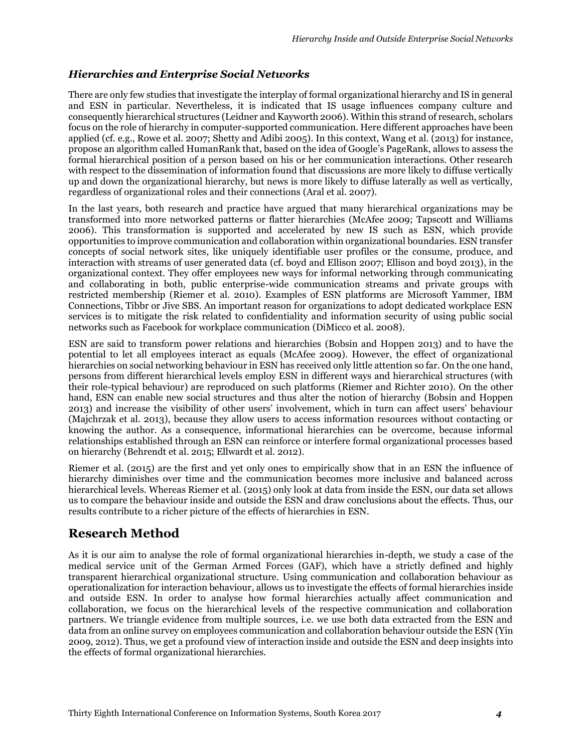### *Hierarchies and Enterprise Social Networks*

There are only few studies that investigate the interplay of formal organizational hierarchy and IS in general and ESN in particular. Nevertheless, it is indicated that IS usage influences company culture and consequently hierarchical structures (Leidner and Kayworth 2006). Within this strand of research, scholars focus on the role of hierarchy in computer-supported communication. Here different approaches have been applied (cf. e.g., Rowe et al. 2007; Shetty and Adibi 2005). In this context, Wang et al. (2013) for instance, propose an algorithm called HumanRank that, based on the idea of Google's PageRank, allows to assess the formal hierarchical position of a person based on his or her communication interactions. Other research with respect to the dissemination of information found that discussions are more likely to diffuse vertically up and down the organizational hierarchy, but news is more likely to diffuse laterally as well as vertically, regardless of organizational roles and their connections (Aral et al. 2007).

In the last years, both research and practice have argued that many hierarchical organizations may be transformed into more networked patterns or flatter hierarchies (McAfee 2009; Tapscott and Williams 2006). This transformation is supported and accelerated by new IS such as ESN, which provide opportunities to improve communication and collaboration within organizational boundaries. ESN transfer concepts of social network sites, like uniquely identifiable user profiles or the consume, produce, and interaction with streams of user generated data (cf. boyd and Ellison 2007; Ellison and boyd 2013), in the organizational context. They offer employees new ways for informal networking through communicating and collaborating in both, public enterprise-wide communication streams and private groups with restricted membership (Riemer et al. 2010). Examples of ESN platforms are Microsoft Yammer, IBM Connections, Tibbr or Jive SBS. An important reason for organizations to adopt dedicated workplace ESN services is to mitigate the risk related to confidentiality and information security of using public social networks such as Facebook for workplace communication (DiMicco et al. 2008).

ESN are said to transform power relations and hierarchies (Bobsin and Hoppen 2013) and to have the potential to let all employees interact as equals (McAfee 2009). However, the effect of organizational hierarchies on social networking behaviour in ESN has received only little attention so far. On the one hand, persons from different hierarchical levels employ ESN in different ways and hierarchical structures (with their role-typical behaviour) are reproduced on such platforms (Riemer and Richter 2010). On the other hand, ESN can enable new social structures and thus alter the notion of hierarchy (Bobsin and Hoppen 2013) and increase the visibility of other users' involvement, which in turn can affect users' behaviour (Majchrzak et al. 2013), because they allow users to access information resources without contacting or knowing the author. As a consequence, informational hierarchies can be overcome, because informal relationships established through an ESN can reinforce or interfere formal organizational processes based on hierarchy (Behrendt et al. 2015; Ellwardt et al. 2012).

Riemer et al. (2015) are the first and yet only ones to empirically show that in an ESN the influence of hierarchy diminishes over time and the communication becomes more inclusive and balanced across hierarchical levels. Whereas Riemer et al. (2015) only look at data from inside the ESN, our data set allows us to compare the behaviour inside and outside the ESN and draw conclusions about the effects. Thus, our results contribute to a richer picture of the effects of hierarchies in ESN.

# **Research Method**

As it is our aim to analyse the role of formal organizational hierarchies in-depth, we study a case of the medical service unit of the German Armed Forces (GAF), which have a strictly defined and highly transparent hierarchical organizational structure. Using communication and collaboration behaviour as operationalization for interaction behaviour, allows us to investigate the effects of formal hierarchies inside and outside ESN. In order to analyse how formal hierarchies actually affect communication and collaboration, we focus on the hierarchical levels of the respective communication and collaboration partners. We triangle evidence from multiple sources, i.e. we use both data extracted from the ESN and data from an online survey on employees communication and collaboration behaviour outside the ESN (Yin 2009, 2012). Thus, we get a profound view of interaction inside and outside the ESN and deep insights into the effects of formal organizational hierarchies.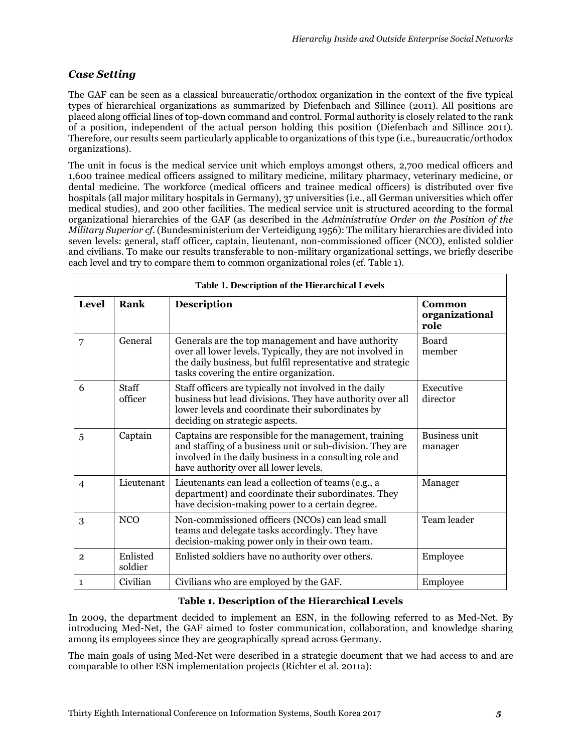### *Case Setting*

The GAF can be seen as a classical bureaucratic/orthodox organization in the context of the five typical types of hierarchical organizations as summarized by Diefenbach and Sillince (2011). All positions are placed along official lines of top-down command and control. Formal authority is closely related to the rank of a position, independent of the actual person holding this position (Diefenbach and Sillince 2011). Therefore, our results seem particularly applicable to organizations of this type (i.e., bureaucratic/orthodox organizations).

The unit in focus is the medical service unit which employs amongst others, 2,700 medical officers and 1,600 trainee medical officers assigned to military medicine, military pharmacy, veterinary medicine, or dental medicine. The workforce (medical officers and trainee medical officers) is distributed over five hospitals (all major military hospitals in Germany), 37 universities (i.e., all German universities which offer medical studies), and 200 other facilities. The medical service unit is structured according to the formal organizational hierarchies of the GAF (as described in the *Administrative Order on the Position of the Military Superior cf.* (Bundesministerium der Verteidigung 1956): The military hierarchies are divided into seven levels: general, staff officer, captain, lieutenant, non-commissioned officer (NCO), enlisted soldier and civilians. To make our results transferable to non-military organizational settings, we briefly describe each level and try to compare them to common organizational roles (cf. Table 1).

| Table 1. Description of the Hierarchical Levels |                         |                                                                                                                                                                                                                            |                                  |  |  |
|-------------------------------------------------|-------------------------|----------------------------------------------------------------------------------------------------------------------------------------------------------------------------------------------------------------------------|----------------------------------|--|--|
| <b>Level</b>                                    | Rank                    | <b>Description</b>                                                                                                                                                                                                         | Common<br>organizational<br>role |  |  |
| 7                                               | General                 | Generals are the top management and have authority<br>over all lower levels. Typically, they are not involved in<br>the daily business, but fulfil representative and strategic<br>tasks covering the entire organization. | <b>Board</b><br>member           |  |  |
| 6                                               | <b>Staff</b><br>officer | Staff officers are typically not involved in the daily<br>business but lead divisions. They have authority over all<br>lower levels and coordinate their subordinates by<br>deciding on strategic aspects.                 | Executive<br>director            |  |  |
| 5                                               | Captain                 | Captains are responsible for the management, training<br>and staffing of a business unit or sub-division. They are<br>involved in the daily business in a consulting role and<br>have authority over all lower levels.     | <b>Business unit</b><br>manager  |  |  |
| $\overline{4}$                                  | Lieutenant              | Lieutenants can lead a collection of teams (e.g., a<br>department) and coordinate their subordinates. They<br>have decision-making power to a certain degree.                                                              | Manager                          |  |  |
| 3                                               | <b>NCO</b>              | Non-commissioned officers (NCOs) can lead small<br>teams and delegate tasks accordingly. They have<br>decision-making power only in their own team.                                                                        | Team leader                      |  |  |
| $\overline{2}$                                  | Enlisted<br>soldier     | Enlisted soldiers have no authority over others.                                                                                                                                                                           | Employee                         |  |  |
| $\mathbf{1}$                                    | Civilian                | Civilians who are employed by the GAF.                                                                                                                                                                                     | Employee                         |  |  |

### **Table 1. Description of the Hierarchical Levels**

In 2009, the department decided to implement an ESN, in the following referred to as Med-Net. By introducing Med-Net, the GAF aimed to foster communication, collaboration, and knowledge sharing among its employees since they are geographically spread across Germany.

The main goals of using Med-Net were described in a strategic document that we had access to and are comparable to other ESN implementation projects (Richter et al. 2011a):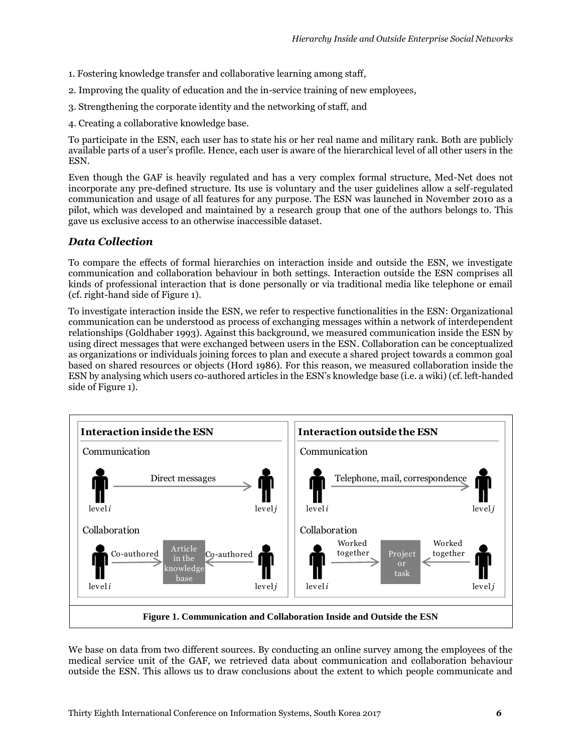- 1. Fostering knowledge transfer and collaborative learning among staff,
- 2. Improving the quality of education and the in-service training of new employees,
- 3. Strengthening the corporate identity and the networking of staff, and
- 4. Creating a collaborative knowledge base.

To participate in the ESN, each user has to state his or her real name and military rank. Both are publicly available parts of a user's profile. Hence, each user is aware of the hierarchical level of all other users in the ESN.

Even though the GAF is heavily regulated and has a very complex formal structure, Med-Net does not incorporate any pre-defined structure. Its use is voluntary and the user guidelines allow a self-regulated communication and usage of all features for any purpose. The ESN was launched in November 2010 as a pilot, which was developed and maintained by a research group that one of the authors belongs to. This gave us exclusive access to an otherwise inaccessible dataset.

#### *Data Collection*

To compare the effects of formal hierarchies on interaction inside and outside the ESN, we investigate communication and collaboration behaviour in both settings. Interaction outside the ESN comprises all kinds of professional interaction that is done personally or via traditional media like telephone or email (cf. right-hand side of Figure 1).

To investigate interaction inside the ESN, we refer to respective functionalities in the ESN: Organizational communication can be understood as process of exchanging messages within a network of interdependent relationships (Goldhaber 1993). Against this background, we measured communication inside the ESN by using direct messages that were exchanged between users in the ESN. Collaboration can be conceptualized as organizations or individuals joining forces to plan and execute a shared project towards a common goal based on shared resources or objects (Hord 1986). For this reason, we measured collaboration inside the ESN by analysing which users co-authored articles in the ESN's knowledge base (i.e. a wiki) (cf. left-handed side of Figure 1).



We base on data from two different sources. By conducting an online survey among the employees of the medical service unit of the GAF, we retrieved data about communication and collaboration behaviour outside the ESN. This allows us to draw conclusions about the extent to which people communicate and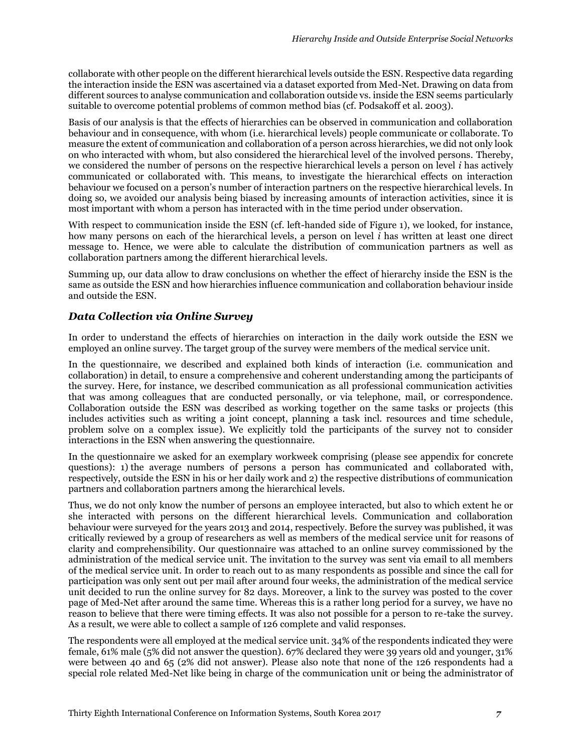collaborate with other people on the different hierarchical levels outside the ESN. Respective data regarding the interaction inside the ESN was ascertained via a dataset exported from Med-Net. Drawing on data from different sources to analyse communication and collaboration outside vs. inside the ESN seems particularly suitable to overcome potential problems of common method bias (cf. Podsakoff et al. 2003).

Basis of our analysis is that the effects of hierarchies can be observed in communication and collaboration behaviour and in consequence, with whom (i.e. hierarchical levels) people communicate or collaborate. To measure the extent of communication and collaboration of a person across hierarchies, we did not only look on who interacted with whom, but also considered the hierarchical level of the involved persons. Thereby, we considered the number of persons on the respective hierarchical levels a person on level *i* has actively communicated or collaborated with. This means, to investigate the hierarchical effects on interaction behaviour we focused on a person's number of interaction partners on the respective hierarchical levels. In doing so, we avoided our analysis being biased by increasing amounts of interaction activities, since it is most important with whom a person has interacted with in the time period under observation.

With respect to communication inside the ESN (cf. left-handed side of Figure 1), we looked, for instance, how many persons on each of the hierarchical levels, a person on level *i* has written at least one direct message to. Hence, we were able to calculate the distribution of communication partners as well as collaboration partners among the different hierarchical levels.

Summing up, our data allow to draw conclusions on whether the effect of hierarchy inside the ESN is the same as outside the ESN and how hierarchies influence communication and collaboration behaviour inside and outside the ESN.

### *Data Collection via Online Survey*

In order to understand the effects of hierarchies on interaction in the daily work outside the ESN we employed an online survey. The target group of the survey were members of the medical service unit.

In the questionnaire, we described and explained both kinds of interaction (i.e. communication and collaboration) in detail, to ensure a comprehensive and coherent understanding among the participants of the survey. Here, for instance, we described communication as all professional communication activities that was among colleagues that are conducted personally, or via telephone, mail, or correspondence. Collaboration outside the ESN was described as working together on the same tasks or projects (this includes activities such as writing a joint concept, planning a task incl. resources and time schedule, problem solve on a complex issue). We explicitly told the participants of the survey not to consider interactions in the ESN when answering the questionnaire.

In the questionnaire we asked for an exemplary workweek comprising (please see appendix for concrete questions): 1) the average numbers of persons a person has communicated and collaborated with, respectively, outside the ESN in his or her daily work and 2) the respective distributions of communication partners and collaboration partners among the hierarchical levels.

Thus, we do not only know the number of persons an employee interacted, but also to which extent he or she interacted with persons on the different hierarchical levels. Communication and collaboration behaviour were surveyed for the years 2013 and 2014, respectively. Before the survey was published, it was critically reviewed by a group of researchers as well as members of the medical service unit [for](http://www.dict.cc/englisch-deutsch/for.html) [reasons](http://www.dict.cc/englisch-deutsch/reasons.html) [of](http://www.dict.cc/englisch-deutsch/of.html) [clarity](http://www.dict.cc/englisch-deutsch/clarity.html) [and](http://www.dict.cc/englisch-deutsch/and.html) [comprehensibility.](http://www.dict.cc/englisch-deutsch/comprehensibility.html) Our questionnaire was attached to an online survey commissioned by the administration of the medical service unit. The invitation to the survey was sent via email to all members of the medical service unit. In order to reach out to as many respondents as possible and since the call for participation was only sent out per mail after around four weeks, the administration of the medical service unit decided to run the online survey for 82 days. Moreover, a link to the survey was posted to the cover page of Med-Net after around the same time. Whereas this is a rather long period for a survey, we have no reason to believe that there were timing effects. It was also not possible for a person to re-take the survey. As a result, we were able to collect a sample of 126 complete and valid responses.

The respondents were all employed at the medical service unit. 34% of the respondents indicated they were female, 61% male (5% did not answer the question). 67% declared they were 39 years old and younger, 31% were between 40 and 65 (2% did not answer). Please also note that none of the 126 respondents had a special role related Med-Net like being in charge of the communication unit or being the administrator of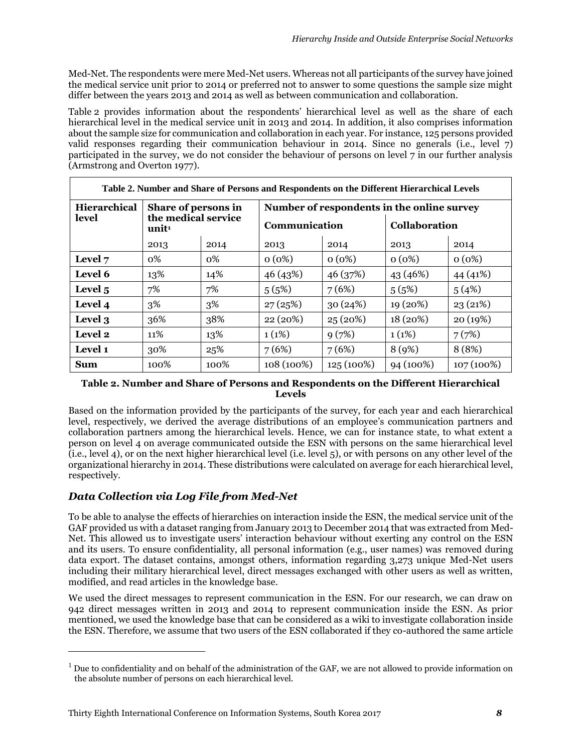Med-Net. The respondents were mere Med-Net users. Whereas not all participants of the survey have joined the medical service unit prior to 2014 or preferred not to answer to some questions the sample size might differ between the years 2013 and 2014 as well as between communication and collaboration.

Table 2 provides information about the respondents' hierarchical level as well as the share of each hierarchical level in the medical service unit in 2013 and 2014. In addition, it also comprises information about the sample size for communication and collaboration in each year. For instance, 125 persons provided valid responses regarding their communication behaviour in 2014. Since no generals (i.e., level 7) participated in the survey, we do not consider the behaviour of persons on level 7 in our further analysis (Armstrong and Overton 1977).

| Table 2. Number and Share of Persons and Respondents on the Different Hierarchical Levels |                                                                 |      |                                            |            |                      |              |  |
|-------------------------------------------------------------------------------------------|-----------------------------------------------------------------|------|--------------------------------------------|------------|----------------------|--------------|--|
| Hierarchical                                                                              | Share of persons in<br>the medical service<br>unit <sup>1</sup> |      | Number of respondents in the online survey |            |                      |              |  |
| level                                                                                     |                                                                 |      | Communication                              |            | <b>Collaboration</b> |              |  |
|                                                                                           | 2013                                                            | 2014 | 2013                                       | 2014       | 2013                 | 2014         |  |
| Level 7                                                                                   | 0%                                                              | 0%   | $0(0\%)$                                   | $0(0\%)$   | 0(0%)                | $0(0\%)$     |  |
| Level 6                                                                                   | 13%                                                             | 14%  | 46 (43%)                                   | 46 (37%)   | 43 (46%)             | 44 (41%)     |  |
| Level 5                                                                                   | 7%                                                              | 7%   | 5(5%)                                      | 7(6%)      | 5(5%)                | 5(4%)        |  |
| Level 4                                                                                   | 3%                                                              | 3%   | 27(25%)                                    | 30(24%)    | 19 (20%)             | 23(21%)      |  |
| Level 3                                                                                   | 36%                                                             | 38%  | 22 (20%)                                   | 25(20%)    | 18 (20%)             | 20 (19%)     |  |
| Level 2                                                                                   | 11%                                                             | 13%  | 1(1%)                                      | 9(7%)      | 1(1%)                | 7(7%)        |  |
| Level 1                                                                                   | 30%                                                             | 25%  | 7(6%)                                      | 7(6%)      | 8(9%)                | 8 (8%)       |  |
| <b>Sum</b>                                                                                | 100%                                                            | 100% | 108 (100%)                                 | 125 (100%) | 94 (100%)            | $107(100\%)$ |  |

#### **Table 2. Number and Share of Persons and Respondents on the Different Hierarchical Levels**

Based on the information provided by the participants of the survey, for each year and each hierarchical level, respectively, we derived the average distributions of an employee's communication partners and collaboration partners among the hierarchical levels. Hence, we can for instance state, to what extent a person on level 4 on average communicated outside the ESN with persons on the same hierarchical level (i.e., level 4), or on the next higher hierarchical level (i.e. level 5), or with persons on any other level of the organizational hierarchy in 2014. These distributions were calculated on average for each hierarchical level, respectively.

# *Data Collection via Log File from Med-Net*

 $\overline{a}$ 

To be able to analyse the effects of hierarchies on interaction inside the ESN, the medical service unit of the GAF provided us with a dataset ranging from January 2013 to December 2014 that was extracted from Med-Net. This allowed us to investigate users' interaction behaviour without exerting any control on the ESN and its users. To ensure confidentiality, all personal information (e.g., user names) was removed during data export. The dataset contains, amongst others, information regarding 3,273 unique Med-Net users including their military hierarchical level, direct messages exchanged with other users as well as written, modified, and read articles in the knowledge base.

We used the direct messages to represent communication in the ESN. For our research, we can draw on 942 direct messages written in 2013 and 2014 to represent communication inside the ESN. As prior mentioned, we used the knowledge base that can be considered as a wiki to investigate collaboration inside the ESN. Therefore, we assume that two users of the ESN collaborated if they co-authored the same article

 $<sup>1</sup>$  Due to confidentiality and on behalf of the administration of the GAF, we are not allowed to provide information on</sup> the absolute number of persons on each hierarchical level.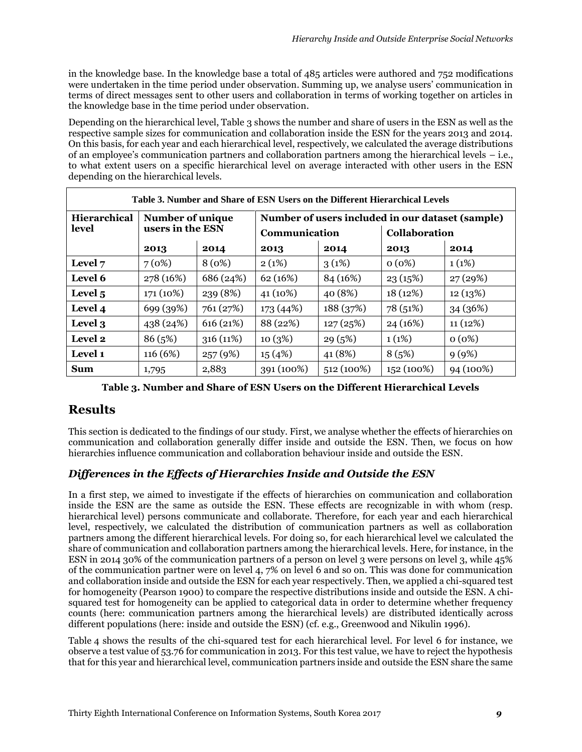in the knowledge base. In the knowledge base a total of 485 articles were authored and 752 modifications were undertaken in the time period under observation. Summing up, we analyse users' communication in terms of direct messages sent to other users and collaboration in terms of working together on articles in the knowledge base in the time period under observation.

Depending on the hierarchical level, Table 3 shows the number and share of users in the ESN as well as the respective sample sizes for communication and collaboration inside the ESN for the years 2013 and 2014. On this basis, for each year and each hierarchical level, respectively, we calculated the average distributions of an employee's communication partners and collaboration partners among the hierarchical levels – i.e., to what extent users on a specific hierarchical level on average interacted with other users in the ESN depending on the hierarchical levels.

| Table 3. Number and Share of ESN Users on the Different Hierarchical Levels |                                      |           |                                                  |           |                      |           |  |
|-----------------------------------------------------------------------------|--------------------------------------|-----------|--------------------------------------------------|-----------|----------------------|-----------|--|
| <b>Hierarchical</b>                                                         | Number of unique<br>users in the ESN |           | Number of users included in our dataset (sample) |           |                      |           |  |
| level                                                                       |                                      |           | Communication                                    |           | <b>Collaboration</b> |           |  |
|                                                                             | 2013                                 | 2014      | 2013                                             | 2014      | 2013                 | 2014      |  |
| Level 7                                                                     | 7(0%)                                | 8(0%)     | 2(1%)                                            | 3(1%)     | 0(0%)                | 1(1%)     |  |
| Level 6                                                                     | 278 (16%)                            | 686 (24%) | 62 (16%)                                         | 84 (16%)  | 23(15%)              | 27(29%)   |  |
| Level <sub>5</sub>                                                          | 171 (10%)                            | 239 (8%)  | 41 (10%)                                         | 40 (8%)   | 18(12%)              | 12(13%)   |  |
| Level 4                                                                     | 699 (39%)                            | 761 (27%) | 173 (44%)                                        | 188 (37%) | 78 (51%)             | 34 (36%)  |  |
| Level 3                                                                     | 438 (24%)                            | 616(21%)  | 88 (22%)                                         | 127(25%)  | 24 (16%)             | 11(12%)   |  |
| Level 2                                                                     | 86 (5%)                              | 316(11%)  | 10(3%)                                           | 29(5%)    | 1(1%)                | $0(0\%)$  |  |
| Level 1                                                                     | 116 (6%)                             | 257(9%)   | 15(4%)                                           | 41 (8%)   | 8(5%)                | 9(9%)     |  |
| Sum                                                                         | 1,795                                | 2,883     | 391 (100%)                                       | 512(100%) | 152 (100%)           | 94 (100%) |  |

**Table 3. Number and Share of ESN Users on the Different Hierarchical Levels**

# **Results**

This section is dedicated to the findings of our study. First, we analyse whether the effects of hierarchies on communication and collaboration generally differ inside and outside the ESN. Then, we focus on how hierarchies influence communication and collaboration behaviour inside and outside the ESN.

### *Differences in the Effects of Hierarchies Inside and Outside the ESN*

In a first step, we aimed to investigate if the effects of hierarchies on communication and collaboration inside the ESN are the same as outside the ESN. These effects are recognizable in with whom (resp. hierarchical level) persons communicate and collaborate. Therefore, for each year and each hierarchical level, respectively, we calculated the distribution of communication partners as well as collaboration partners among the different hierarchical levels. For doing so, for each hierarchical level we calculated the share of communication and collaboration partners among the hierarchical levels. Here, for instance, in the ESN in 2014 30% of the communication partners of a person on level 3 were persons on level 3, while 45% of the communication partner were on level 4, 7% on level 6 and so on. This was done for communication and collaboration inside and outside the ESN for each year respectively. Then, we applied a chi-squared test for homogeneity (Pearson 1900) to compare the respective distributions inside and outside the ESN. A chisquared test for homogeneity can be applied to categorical data in order to determine whether frequency counts (here: communication partners among the hierarchical levels) are distributed identically across different populations (here: inside and outside the ESN) (cf. e.g., Greenwood and Nikulin 1996).

Table 4 shows the results of the chi-squared test for each hierarchical level. For level 6 for instance, we observe a test value of 53.76 for communication in 2013. For this test value, we have to reject the hypothesis that for this year and hierarchical level, communication partners inside and outside the ESN share the same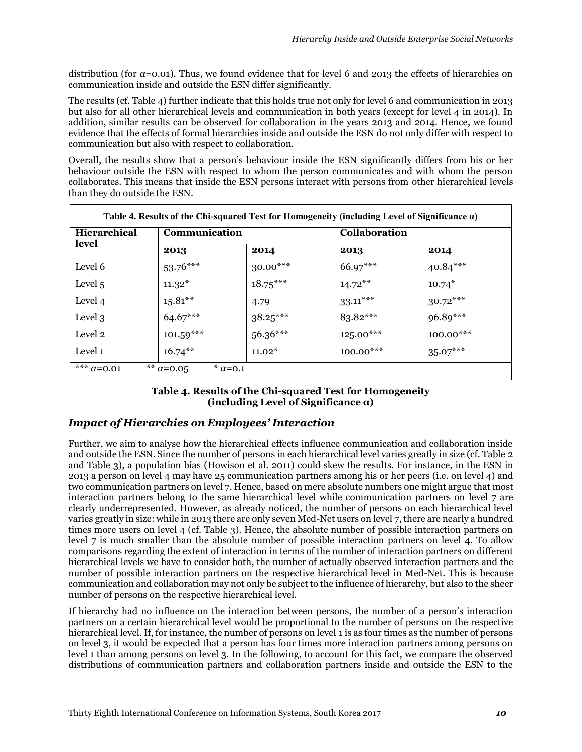distribution (for *α*=0.01). Thus, we found evidence that for level 6 and 2013 the effects of hierarchies on communication inside and outside the ESN differ significantly.

The results (cf. Table 4) further indicate that this holds true not only for level 6 and communication in 2013 but also for all other hierarchical levels and communication in both years (except for level 4 in 2014). In addition, similar results can be observed for collaboration in the years 2013 and 2014. Hence, we found evidence that the effects of formal hierarchies inside and outside the ESN do not only differ with respect to communication but also with respect to collaboration.

Overall, the results show that a person's behaviour inside the ESN significantly differs from his or her behaviour outside the ESN with respect to whom the person communicates and with whom the person collaborates. This means that inside the ESN persons interact with persons from other hierarchical levels than they do outside the ESN.

| <b>Hierarchical</b> | Communication |            | <b>Collaboration</b> |             |
|---------------------|---------------|------------|----------------------|-------------|
| level               | 2013          | 2014       | 2013                 | 2014        |
| Level 6             | $53.76***$    | $30.00***$ | 66.97***             | $40.84***$  |
| Level 5             | $11.32*$      | $18.75***$ | $14.72***$           | $10.74*$    |
| Level 4             | $15.81***$    | 4.79       | $33.11***$           | $30.72***$  |
| Level 3             | $64.67***$    | $38.25***$ | $83.82***$           | $96.89***$  |
| Level 2             | $101.59***$   | $56.36***$ | $125.00***$          | $100.00***$ |
| Level 1             | $16.74***$    | $11.02*$   | $100.00***$          | $35.07***$  |

#### **Table 4. Results of the Chi-squared Test for Homogeneity (including Level of Significance α)**

### *Impact of Hierarchies on Employees' Interaction*

Further, we aim to analyse how the hierarchical effects influence communication and collaboration inside and outside the ESN. Since the number of persons in each hierarchical level varies greatly in size (cf. Table 2 and Table 3), a population bias (Howison et al. 2011) could skew the results. For instance, in the ESN in 2013 a person on level 4 may have 25 communication partners among his or her peers (i.e. on level 4) and two communication partners on level 7. Hence, based on mere absolute numbers one might argue that most interaction partners belong to the same hierarchical level while communication partners on level 7 are clearly underrepresented. However, as already noticed, the number of persons on each hierarchical level varies greatly in size: while in 2013 there are only seven Med-Net users on level 7, there are nearly a hundred times more users on level 4 (cf. Table 3). Hence, the absolute number of possible interaction partners on level 7 is much smaller than the absolute number of possible interaction partners on level 4. To allow comparisons regarding the extent of interaction in terms of the number of interaction partners on different hierarchical levels we have to consider both, the number of actually observed interaction partners and the number of possible interaction partners on the respective hierarchical level in Med-Net. This is because communication and collaboration may not only be subject to the influence of hierarchy, but also to the sheer number of persons on the respective hierarchical level.

If hierarchy had no influence on the interaction between persons, the number of a person's interaction partners on a certain hierarchical level would be proportional to the number of persons on the respective hierarchical level. If, for instance, the number of persons on level 1 is as four times as the number of persons on level 3, it would be expected that a person has four times more interaction partners among persons on level 1 than among persons on level 3. In the following, to account for this fact, we compare the observed distributions of communication partners and collaboration partners inside and outside the ESN to the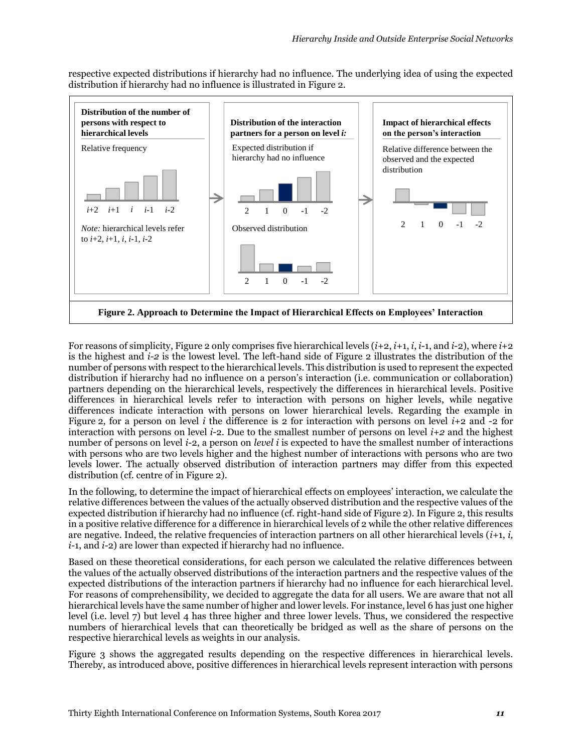respective expected distributions if hierarchy had no influence. The underlying idea of using the expected distribution if hierarchy had no influence is illustrated in Figure 2.



For reasons of simplicity, Figure 2 only comprises five hierarchical levels (*i*+2, *i*+1, *i*, *i*-1, and *i*-2), where *i*+2 is the highest and *i-2* is the lowest level. The left-hand side of Figure 2 illustrates the distribution of the number of persons with respect to the hierarchical levels. This distribution is used to represent the expected distribution if hierarchy had no influence on a person's interaction (i.e. communication or collaboration) partners depending on the hierarchical levels, respectively the differences in hierarchical levels. Positive differences in hierarchical levels refer to interaction with persons on higher levels, while negative differences indicate interaction with persons on lower hierarchical levels. Regarding the example in Figure 2, for a person on level *i* the difference is 2 for interaction with persons on level *i*+2 and -2 for interaction with persons on level *i*-2. Due to the smallest number of persons on level *i+2* and the highest number of persons on level *i*-2, a person on *level i* is expected to have the smallest number of interactions with persons who are two levels higher and the highest number of interactions with persons who are two levels lower. The actually observed distribution of interaction partners may differ from this expected distribution (cf. centre of in Figure 2).

In the following, to determine the impact of hierarchical effects on employees' interaction, we calculate the relative differences between the values of the actually observed distribution and the respective values of the expected distribution if hierarchy had no influence (cf. right-hand side of Figure 2). In Figure 2, this results in a positive relative difference for a difference in hierarchical levels of 2 while the other relative differences are negative. Indeed, the relative frequencies of interaction partners on all other hierarchical levels (*i+*1, *i, i-*1, and *i-*2) are lower than expected if hierarchy had no influence.

Based on these theoretical considerations, for each person we calculated the relative differences between the values of the actually observed distributions of the interaction partners and the respective values of the expected distributions of the interaction partners if hierarchy had no influence for each hierarchical level. For reasons of comprehensibility, we decided to aggregate the data for all users. We are aware that not all hierarchical levels have the same number of higher and lower levels. For instance, level 6 has just one higher level (i.e. level 7) but level 4 has three higher and three lower levels. Thus, we considered the respective numbers of hierarchical levels that can theoretically be bridged as well as the share of persons on the respective hierarchical levels as weights in our analysis.

Figure 3 shows the aggregated results depending on the respective differences in hierarchical levels. Thereby, as introduced above, positive differences in hierarchical levels represent interaction with persons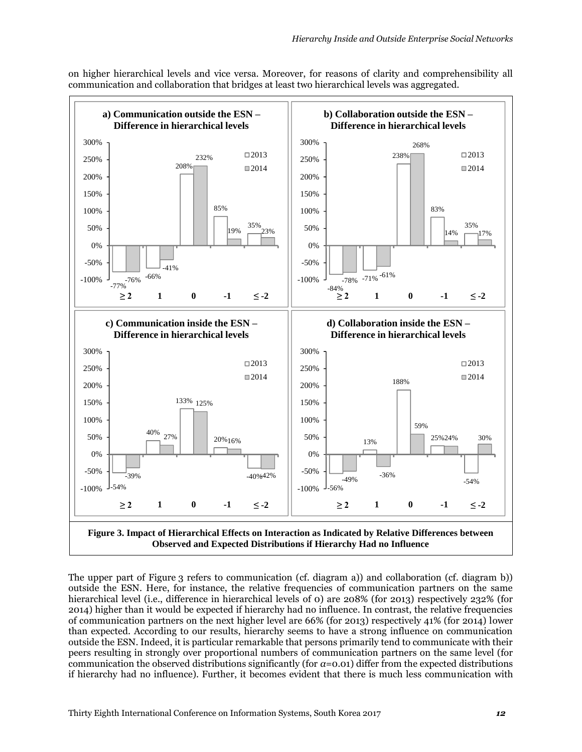on higher hierarchical levels and vice versa. Moreover, for reasons of clarity and comprehensibility all communication and collaboration that bridges at least two hierarchical levels was aggregated.



The upper part of Figure 3 refers to communication (cf. diagram a)) and collaboration (cf. diagram b)) outside the ESN. Here, for instance, the relative frequencies of communication partners on the same hierarchical level (i.e., difference in hierarchical levels of 0) are 208% (for 2013) respectively 232% (for 2014) higher than it would be expected if hierarchy had no influence. In contrast, the relative frequencies of communication partners on the next higher level are 66% (for 2013) respectively 41% (for 2014) lower than expected. According to our results, hierarchy seems to have a strong influence on communication outside the ESN. Indeed, it is particular remarkable that persons primarily tend to communicate with their peers resulting in strongly over proportional numbers of communication partners on the same level (for communication the observed distributions significantly (for *α*=0.01) differ from the expected distributions if hierarchy had no influence). Further, it becomes evident that there is much less communication with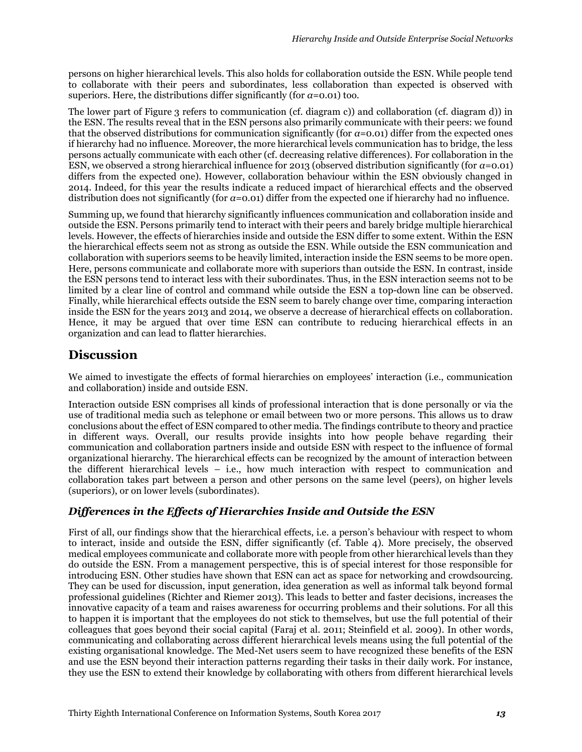persons on higher hierarchical levels. This also holds for collaboration outside the ESN. While people tend to collaborate with their peers and subordinates, less collaboration than expected is observed with superiors. Here, the distributions differ significantly (for  $a=0.01$ ) too.

The lower part of Figure 3 refers to communication (cf. diagram c)) and collaboration (cf. diagram d)) in the ESN. The results reveal that in the ESN persons also primarily communicate with their peers: we found that the observed distributions for communication significantly (for *α*=0.01) differ from the expected ones if hierarchy had no influence. Moreover, the more hierarchical levels communication has to bridge, the less persons actually communicate with each other (cf. decreasing relative differences). For collaboration in the ESN, we observed a strong hierarchical influence for 2013 (observed distribution significantly (for *α*=0.01) differs from the expected one). However, collaboration behaviour within the ESN obviously changed in 2014. Indeed, for this year the results indicate a reduced impact of hierarchical effects and the observed distribution does not significantly (for *α*=0.01) differ from the expected one if hierarchy had no influence.

Summing up, we found that hierarchy significantly influences communication and collaboration inside and outside the ESN. Persons primarily tend to interact with their peers and barely bridge multiple hierarchical levels. However, the effects of hierarchies inside and outside the ESN differ to some extent. Within the ESN the hierarchical effects seem not as strong as outside the ESN. While outside the ESN communication and collaboration with superiors seems to be heavily limited, interaction inside the ESN seems to be more open. Here, persons communicate and collaborate more with superiors than outside the ESN. In contrast, inside the ESN persons tend to interact less with their subordinates. Thus, in the ESN interaction seems not to be limited by a clear line of control and command while outside the ESN a top-down line can be observed. Finally, while hierarchical effects outside the ESN seem to barely change over time, comparing interaction inside the ESN for the years 2013 and 2014, we observe a decrease of hierarchical effects on collaboration. Hence, it may be argued that over time ESN can contribute to reducing hierarchical effects in an organization and can lead to flatter hierarchies.

# **Discussion**

We aimed to investigate the effects of formal hierarchies on employees' interaction (i.e., communication and collaboration) inside and outside ESN.

Interaction outside ESN comprises all kinds of professional interaction that is done personally or via the use of traditional media such as telephone or email between two or more persons. This allows us to draw conclusions about the effect of ESN compared to other media. The findings contribute to theory and practice in different ways. Overall, our results provide insights into how people behave regarding their communication and collaboration partners inside and outside ESN with respect to the influence of formal organizational hierarchy. The hierarchical effects can be recognized by the amount of interaction between the different hierarchical levels – i.e., how much interaction with respect to communication and collaboration takes part between a person and other persons on the same level (peers), on higher levels (superiors), or on lower levels (subordinates).

# *Differences in the Effects of Hierarchies Inside and Outside the ESN*

First of all, our findings show that the hierarchical effects, i.e. a person's behaviour with respect to whom to interact, inside and outside the ESN, differ significantly (cf. Table 4). More precisely, the observed medical employees communicate and collaborate more with people from other hierarchical levels than they do outside the ESN. From a management perspective, this is of special interest for those responsible for introducing ESN. Other studies have shown that ESN can act as space for networking and crowdsourcing. They can be used for discussion, input generation, idea generation as well as informal talk beyond formal professional guidelines (Richter and Riemer 2013). This leads to better and faster decisions, increases the innovative capacity of a team and raises awareness for occurring problems and their solutions. For all this to happen it is important that the employees do not stick to themselves, but use the full potential of their colleagues that goes beyond their social capital (Faraj et al. 2011; Steinfield et al. 2009). In other words, communicating and collaborating across different hierarchical levels means using the full potential of the existing organisational knowledge. The Med-Net users seem to have recognized these benefits of the ESN and use the ESN beyond their interaction patterns regarding their tasks in their daily work. For instance, they use the ESN to extend their knowledge by collaborating with others from different hierarchical levels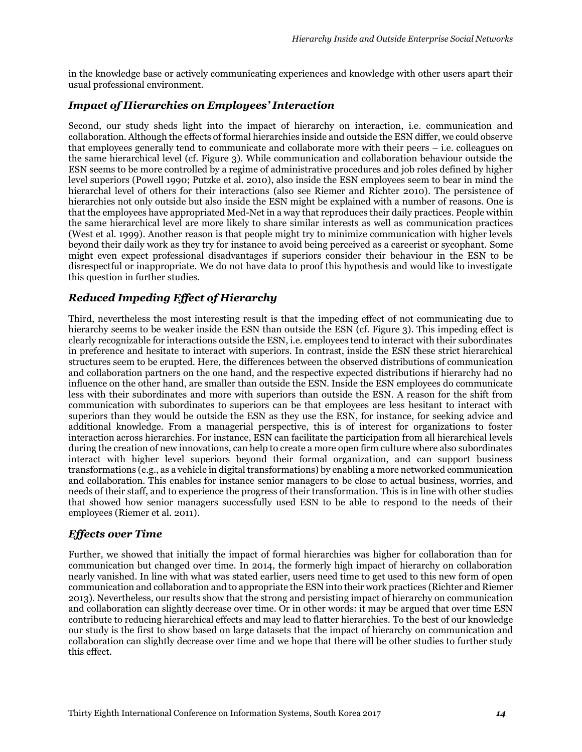in the knowledge base or actively communicating experiences and knowledge with other users apart their usual professional environment.

### *Impact of Hierarchies on Employees' Interaction*

Second, our study sheds light into the impact of hierarchy on interaction, i.e. communication and collaboration. Although the effects of formal hierarchies inside and outside the ESN differ, we could observe that employees generally tend to communicate and collaborate more with their peers – i.e. colleagues on the same hierarchical level (cf. Figure 3). While communication and collaboration behaviour outside the ESN seems to be more controlled by a regime of administrative procedures and job roles defined by higher level superiors (Powell 1990; Putzke et al. 2010), also inside the ESN employees seem to bear in mind the hierarchal level of others for their interactions (also see Riemer and Richter 2010). The persistence of hierarchies not only outside but also inside the ESN might be explained with a number of reasons. One is that the employees have appropriated Med-Net in a way that reproduces their daily practices. People within the same hierarchical level are more likely to share similar interests as well as communication practices (West et al. 1999). Another reason is that people might try to minimize communication with higher levels beyond their daily work as they try for instance to avoid being perceived as a careerist or sycophant. Some might even expect professional disadvantages if superiors consider their behaviour in the ESN to be disrespectful or inappropriate. We do not have data to proof this hypothesis and would like to investigate this question in further studies.

### *Reduced Impeding Effect of Hierarchy*

Third, nevertheless the most interesting result is that the impeding effect of not communicating due to hierarchy seems to be weaker inside the ESN than outside the ESN (cf. Figure 3). This impeding effect is clearly recognizable for interactions outside the ESN, i.e. employees tend to interact with their subordinates in preference and hesitate to interact with superiors. In contrast, inside the ESN these strict hierarchical structures seem to be erupted. Here, the differences between the observed distributions of communication and collaboration partners on the one hand, and the respective expected distributions if hierarchy had no influence on the other hand, are smaller than outside the ESN. Inside the ESN employees do communicate less with their subordinates and more with superiors than outside the ESN. A reason for the shift from communication with subordinates to superiors can be that employees are less hesitant to interact with superiors than they would be outside the ESN as they use the ESN, for instance, for seeking advice and additional knowledge. From a managerial perspective, this is of interest for organizations to foster interaction across hierarchies. For instance, ESN can facilitate the participation from all hierarchical levels during the creation of new innovations, can help to create a more open firm culture where also subordinates interact with higher level superiors beyond their formal organization, and can support business transformations (e.g., as a vehicle in digital transformations) by enabling a more networked communication and collaboration. This enables for instance senior managers to be close to actual business, worries, and needs of their staff, and to experience the progress of their transformation. This is in line with other studies that showed how senior managers successfully used ESN to be able to respond to the needs of their employees (Riemer et al. 2011).

#### *Effects over Time*

Further, we showed that initially the impact of formal hierarchies was higher for collaboration than for communication but changed over time. In 2014, the formerly high impact of hierarchy on collaboration nearly vanished. In line with what was stated earlier, users need time to get used to this new form of open communication and collaboration and to appropriate the ESN into their work practices (Richter and Riemer 2013). Nevertheless, our results show that the strong and persisting impact of hierarchy on communication and collaboration can slightly decrease over time. Or in other words: it may be argued that over time ESN contribute to reducing hierarchical effects and may lead to flatter hierarchies. To the best of our knowledge our study is the first to show based on large datasets that the impact of hierarchy on communication and collaboration can slightly decrease over time and we hope that there will be other studies to further study this effect.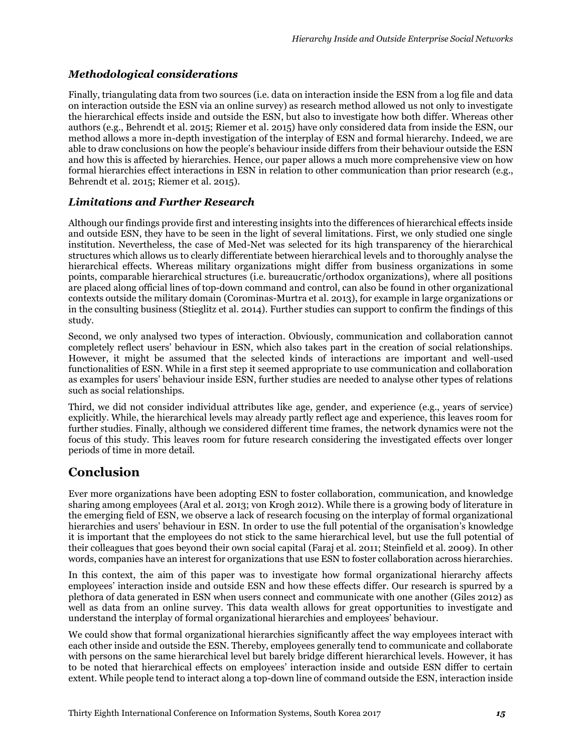### *Methodological considerations*

Finally, triangulating data from two sources (i.e. data on interaction inside the ESN from a log file and data on interaction outside the ESN via an online survey) as research method allowed us not only to investigate the hierarchical effects inside and outside the ESN, but also to investigate how both differ. Whereas other authors (e.g., Behrendt et al. 2015; Riemer et al. 2015) have only considered data from inside the ESN, our method allows a more in-depth investigation of the interplay of ESN and formal hierarchy. Indeed, we are able to draw conclusions on how the people's behaviour inside differs from their behaviour outside the ESN and how this is affected by hierarchies. Hence, our paper allows a much more comprehensive view on how formal hierarchies effect interactions in ESN in relation to other communication than prior research (e.g., Behrendt et al. 2015; Riemer et al. 2015).

## *Limitations and Further Research*

Although our findings provide first and interesting insights into the differences of hierarchical effects inside and outside ESN, they have to be seen in the light of several limitations. First, we only studied one single institution. Nevertheless, the case of Med-Net was selected for its high transparency of the hierarchical structures which allows us to clearly differentiate between hierarchical levels and to thoroughly analyse the hierarchical effects. Whereas military organizations might differ from business organizations in some points, comparable hierarchical structures (i.e. bureaucratic/orthodox organizations), where all positions are placed along official lines of top-down command and control, can also be found in other organizational contexts outside the military domain (Corominas-Murtra et al. 2013), for example in large organizations or in the consulting business (Stieglitz et al. 2014). Further studies can support to confirm the findings of this study.

Second, we only analysed two types of interaction. Obviously, communication and collaboration cannot completely reflect users' behaviour in ESN, which also takes part in the creation of social relationships. However, it might be assumed that the selected kinds of interactions are important and well-used functionalities of ESN. While in a first step it seemed appropriate to use communication and collaboration as examples for users' behaviour inside ESN, further studies are needed to analyse other types of relations such as social relationships.

Third, we did not consider individual attributes like age, gender, and experience (e.g., years of service) explicitly. While, the hierarchical levels may already partly reflect age and experience, this leaves room for further studies. Finally, although we considered different time frames, the network dynamics were not the focus of this study. This leaves room for future research considering the investigated effects over longer periods of time in more detail.

# **Conclusion**

Ever more organizations have been adopting ESN to foster collaboration, communication, and knowledge sharing among employees (Aral et al. 2013; von Krogh 2012). While there is a growing body of literature in the emerging field of ESN, we observe a lack of research focusing on the interplay of formal organizational hierarchies and users' behaviour in ESN. In order to use the full potential of the organisation's knowledge it is important that the employees do not stick to the same hierarchical level, but use the full potential of their colleagues that goes beyond their own social capital (Faraj et al. 2011; Steinfield et al. 2009). In other words, companies have an interest for organizations that use ESN to foster collaboration across hierarchies.

In this context, the aim of this paper was to investigate how formal organizational hierarchy affects employees' interaction inside and outside ESN and how these effects differ. Our research is spurred by a plethora of data generated in ESN when users connect and communicate with one another (Giles 2012) as well as data from an online survey. This data wealth allows for great opportunities to investigate and understand the interplay of formal organizational hierarchies and employees' behaviour.

We could show that formal organizational hierarchies significantly affect the way employees interact with each other inside and outside the ESN. Thereby, employees generally tend to communicate and collaborate with persons on the same hierarchical level but barely bridge different hierarchical levels. However, it has to be noted that hierarchical effects on employees' interaction inside and outside ESN differ to certain extent. While people tend to interact along a top-down line of command outside the ESN, interaction inside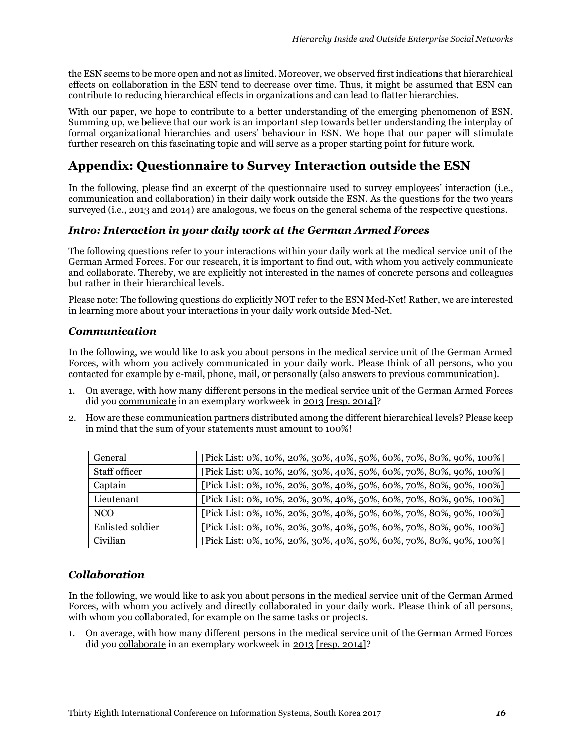the ESN seems to be more open and not as limited. Moreover, we observed first indications that hierarchical effects on collaboration in the ESN tend to decrease over time. Thus, it might be assumed that ESN can contribute to reducing hierarchical effects in organizations and can lead to flatter hierarchies.

With our paper, we hope to contribute to a better understanding of the emerging phenomenon of ESN. Summing up, we believe that our work is an important step towards better understanding the interplay of formal organizational hierarchies and users' behaviour in ESN. We hope that our paper will stimulate further research on this fascinating topic and will serve as a proper starting point for future work.

# **Appendix: Questionnaire to Survey Interaction outside the ESN**

In the following, please find an excerpt of the questionnaire used to survey employees' interaction (i.e., communication and collaboration) in their daily work outside the ESN. As the questions for the two years surveyed (i.e., 2013 and 2014) are analogous, we focus on the general schema of the respective questions.

### *Intro: Interaction in your daily work at the German Armed Forces*

The following questions refer to your interactions within your daily work at the medical service unit of the German Armed Forces. For our research, it is important to find out, with whom you actively communicate and collaborate. Thereby, we are explicitly not interested in the names of concrete persons and colleagues but rather in their hierarchical levels.

Please note: The following questions do explicitly NOT refer to the ESN Med-Net! Rather, we are interested in learning more about your interactions in your daily work outside Med-Net.

#### *Communication*

In the following, we would like to ask you about persons in the medical service unit of the German Armed Forces, with whom you actively communicated in your daily work. Please think of all persons, who you contacted for example by e-mail, phone, mail, or personally (also answers to previous communication).

- 1. On average, with how many different persons in the medical service unit of the German Armed Forces did you communicate in an exemplary workweek in 2013 [resp. 2014]?
- 2. How are these communication partners distributed among the different hierarchical levels? Please keep in mind that the sum of your statements must amount to 100%!

| General                 | [Pick List: 0%, 10%, 20%, 30%, 40%, 50%, 60%, 70%, 80%, 90%, 100%] |
|-------------------------|--------------------------------------------------------------------|
| Staff officer           | [Pick List: 0%, 10%, 20%, 30%, 40%, 50%, 60%, 70%, 80%, 90%, 100%] |
| Captain                 | [Pick List: 0%, 10%, 20%, 30%, 40%, 50%, 60%, 70%, 80%, 90%, 100%] |
| Lieutenant              | [Pick List: 0%, 10%, 20%, 30%, 40%, 50%, 60%, 70%, 80%, 90%, 100%] |
| NCO                     | [Pick List: 0%, 10%, 20%, 30%, 40%, 50%, 60%, 70%, 80%, 90%, 100%] |
| <b>Enlisted soldier</b> | [Pick List: 0%, 10%, 20%, 30%, 40%, 50%, 60%, 70%, 80%, 90%, 100%] |
| Civilian                | [Pick List: 0%, 10%, 20%, 30%, 40%, 50%, 60%, 70%, 80%, 90%, 100%] |

### *Collaboration*

In the following, we would like to ask you about persons in the medical service unit of the German Armed Forces, with whom you actively and directly collaborated in your daily work. Please think of all persons, with whom you collaborated, for example on the same tasks or projects.

1. On average, with how many different persons in the medical service unit of the German Armed Forces did you collaborate in an exemplary workweek in 2013 [resp. 2014]?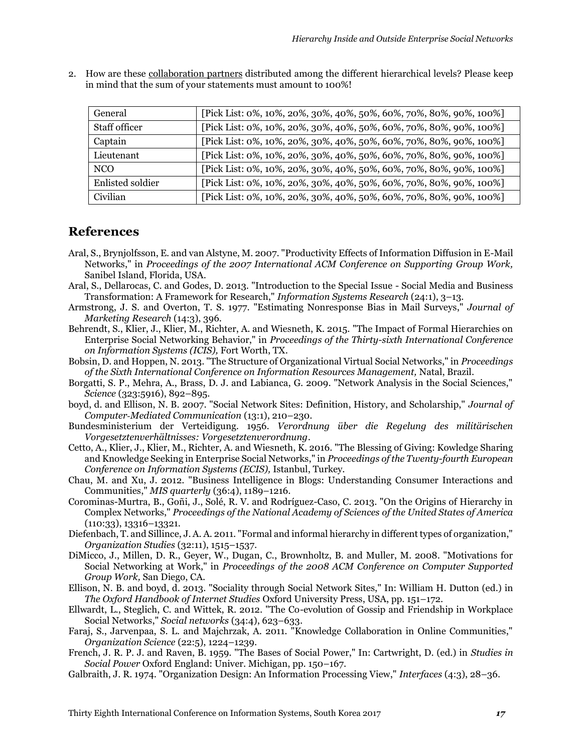2. How are these collaboration partners distributed among the different hierarchical levels? Please keep in mind that the sum of your statements must amount to 100%!

| General          | [Pick List: 0%, 10%, 20%, 30%, 40%, 50%, 60%, 70%, 80%, 90%, 100%] |
|------------------|--------------------------------------------------------------------|
| Staff officer    | [Pick List: 0%, 10%, 20%, 30%, 40%, 50%, 60%, 70%, 80%, 90%, 100%] |
| Captain          | [Pick List: 0%, 10%, 20%, 30%, 40%, 50%, 60%, 70%, 80%, 90%, 100%] |
| Lieutenant       | [Pick List: 0%, 10%, 20%, 30%, 40%, 50%, 60%, 70%, 80%, 90%, 100%] |
| NCO              | [Pick List: 0%, 10%, 20%, 30%, 40%, 50%, 60%, 70%, 80%, 90%, 100%] |
| Enlisted soldier | [Pick List: 0%, 10%, 20%, 30%, 40%, 50%, 60%, 70%, 80%, 90%, 100%] |
| Civilian         | [Pick List: 0%, 10%, 20%, 30%, 40%, 50%, 60%, 70%, 80%, 90%, 100%] |

# **References**

- Aral, S., Brynjolfsson, E. and van Alstyne, M. 2007. "Productivity Effects of Information Diffusion in E-Mail Networks," in *Proceedings of the 2007 International ACM Conference on Supporting Group Work,*  Sanibel Island, Florida, USA.
- Aral, S., Dellarocas, C. and Godes, D. 2013. "Introduction to the Special Issue Social Media and Business Transformation: A Framework for Research," *Information Systems Research* (24:1), 3–13.
- Armstrong, J. S. and Overton, T. S. 1977. "Estimating Nonresponse Bias in Mail Surveys," *Journal of Marketing Research* (14:3), 396.
- Behrendt, S., Klier, J., Klier, M., Richter, A. and Wiesneth, K. 2015. "The Impact of Formal Hierarchies on Enterprise Social Networking Behavior," in *Proceedings of the Thirty-sixth International Conference on Information Systems (ICIS),* Fort Worth, TX.
- Bobsin, D. and Hoppen, N. 2013. "The Structure of Organizational Virtual Social Networks," in *Proceedings of the Sixth International Conference on Information Resources Management,* Natal, Brazil.
- Borgatti, S. P., Mehra, A., Brass, D. J. and Labianca, G. 2009. "Network Analysis in the Social Sciences," *Science* (323:5916), 892–895.
- boyd, d. and Ellison, N. B. 2007. "Social Network Sites: Definition, History, and Scholarship," *Journal of Computer‐Mediated Communication* (13:1), 210–230.
- Bundesministerium der Verteidigung. 1956. *Verordnung über die Regelung des militärischen Vorgesetztenverhältnisses: Vorgesetztenverordnung*.
- Cetto, A., Klier, J., Klier, M., Richter, A. and Wiesneth, K. 2016. "The Blessing of Giving: Kowledge Sharing and Knowledge Seeking in Enterprise Social Networks," in *Proceedings of the Twenty-fourth European Conference on Information Systems (ECIS),* Istanbul, Turkey.
- Chau, M. and Xu, J. 2012. "Business Intelligence in Blogs: Understanding Consumer Interactions and Communities," *MIS quarterly* (36:4), 1189–1216.
- Corominas-Murtra, B., Goñi, J., Solé, R. V. and Rodríguez-Caso, C. 2013. "On the Origins of Hierarchy in Complex Networks," *Proceedings of the National Academy of Sciences of the United States of America* (110:33), 13316–13321.
- Diefenbach, T. and Sillince, J. A. A. 2011. "Formal and informal hierarchy in different types of organization," *Organization Studies* (32:11), 1515–1537.
- DiMicco, J., Millen, D. R., Geyer, W., Dugan, C., Brownholtz, B. and Muller, M. 2008. "Motivations for Social Networking at Work," in *Proceedings of the 2008 ACM Conference on Computer Supported Group Work,* San Diego, CA.
- Ellison, N. B. and boyd, d. 2013. "Sociality through Social Network Sites," In: William H. Dutton (ed.) in *The Oxford Handbook of Internet Studies* Oxford University Press, USA, pp. 151–172.
- Ellwardt, L., Steglich, C. and Wittek, R. 2012. "The Co-evolution of Gossip and Friendship in Workplace Social Networks," *Social networks* (34:4), 623–633.
- Faraj, S., Jarvenpaa, S. L. and Majchrzak, A. 2011. "Knowledge Collaboration in Online Communities," *Organization Science* (22:5), 1224–1239.
- French, J. R. P. J. and Raven, B. 1959. "The Bases of Social Power," In: Cartwright, D. (ed.) in *Studies in Social Power* Oxford England: Univer. Michigan, pp. 150–167.
- Galbraith, J. R. 1974. "Organization Design: An Information Processing View," *Interfaces* (4:3), 28–36.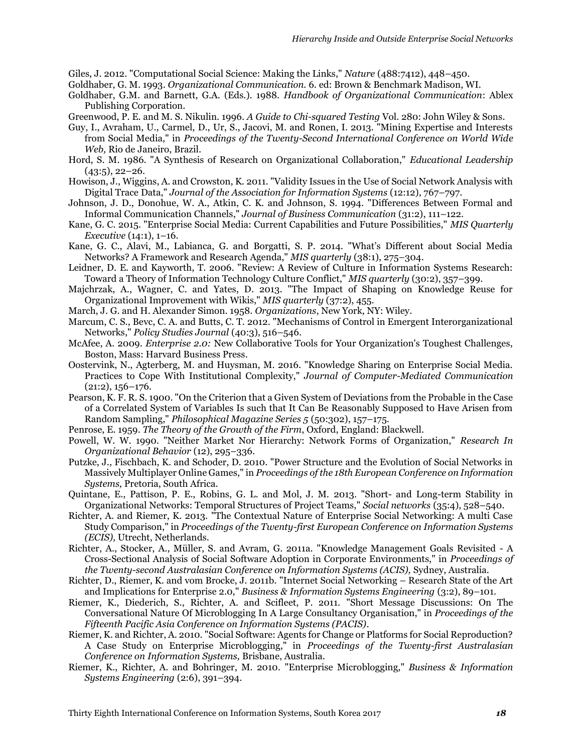Giles, J. 2012. "Computational Social Science: Making the Links," *Nature* (488:7412), 448–450.

- Goldhaber, G. M. 1993. *Organizational Communication.* 6. ed: Brown & Benchmark Madison, WI.
- Goldhaber, G.M. and Barnett, G.A. (Eds.). 1988. *Handbook of Organizational Communication*: Ablex Publishing Corporation.
- Greenwood, P. E. and M. S. Nikulin. 1996. *A Guide to Chi-squared Testing* Vol. 280: John Wiley & Sons.
- Guy, I., Avraham, U., Carmel, D., Ur, S., Jacovi, M. and Ronen, I. 2013. "Mining Expertise and Interests from Social Media," in *Proceedings of the Twenty-Second International Conference on World Wide Web,* Rio de Janeiro, Brazil.
- Hord, S. M. 1986. "A Synthesis of Research on Organizational Collaboration," *Educational Leadership*  $(43:5), 22-26.$
- Howison, J., Wiggins, A. and Crowston, K. 2011. "Validity Issues in the Use of Social Network Analysis with Digital Trace Data," *Journal of the Association for Information Systems* (12:12), 767–797.
- Johnson, J. D., Donohue, W. A., Atkin, C. K. and Johnson, S. 1994. "Differences Between Formal and Informal Communication Channels," *Journal of Business Communication* (31:2), 111–122.
- Kane, G. C. 2015. "Enterprise Social Media: Current Capabilities and Future Possibilities," *MIS Quarterly Executive* (14:1), 1–16.
- Kane, G. C., Alavi, M., Labianca, G. and Borgatti, S. P. 2014. "What's Different about Social Media Networks? A Framework and Research Agenda," *MIS quarterly* (38:1), 275–304.
- Leidner, D. E. and Kayworth, T. 2006. "Review: A Review of Culture in Information Systems Research: Toward a Theory of Information Technology Culture Conflict," *MIS quarterly* (30:2), 357–399.
- Majchrzak, A., Wagner, C. and Yates, D. 2013. "The Impact of Shaping on Knowledge Reuse for Organizational Improvement with Wikis," *MIS quarterly* (37:2), 455.
- March, J. G. and H. Alexander Simon. 1958. *Organizations*, New York, NY: Wiley.
- Marcum, C. S., Bevc, C. A. and Butts, C. T. 2012. "Mechanisms of Control in Emergent Interorganizational Networks," *Policy Studies Journal* (40:3), 516–546.
- McAfee, A. 2009. *Enterprise 2.0:* New Collaborative Tools for Your Organization's Toughest Challenges, Boston, Mass: Harvard Business Press.
- Oostervink, N., Agterberg, M. and Huysman, M. 2016. "Knowledge Sharing on Enterprise Social Media. Practices to Cope With Institutional Complexity," *Journal of Computer-Mediated Communication* (21:2), 156–176.
- Pearson, K. F. R. S. 1900. "On the Criterion that a Given System of Deviations from the Probable in the Case of a Correlated System of Variables Is such that It Can Be Reasonably Supposed to Have Arisen from Random Sampling," *Philosophical Magazine Series 5* (50:302), 157–175.
- Penrose, E. 1959. *The Theory of the Growth of the Firm*, Oxford, England: Blackwell.
- Powell, W. W. 1990. "Neither Market Nor Hierarchy: Network Forms of Organization," *Research In Organizational Behavior* (12), 295–336.
- Putzke, J., Fischbach, K. and Schoder, D. 2010. "Power Structure and the Evolution of Social Networks in Massively Multiplayer Online Games," in *Proceedings of the 18th European Conference on Information Systems,* Pretoria, South Africa.
- Quintane, E., Pattison, P. E., Robins, G. L. and Mol, J. M. 2013. "Short- and Long-term Stability in Organizational Networks: Temporal Structures of Project Teams," *Social networks* (35:4), 528–540.
- Richter, A. and Riemer, K. 2013. "The Contextual Nature of Enterprise Social Networking: A multi Case Study Comparison," in *Proceedings of the Twenty-first European Conference on Information Systems (ECIS),* Utrecht, Netherlands.
- Richter, A., Stocker, A., Müller, S. and Avram, G. 2011a. "Knowledge Management Goals Revisited A Cross-Sectional Analysis of Social Software Adoption in Corporate Environments," in *Proceedings of the Twenty-second Australasian Conference on Information Systems (ACIS),* Sydney, Australia.
- Richter, D., Riemer, K. and vom Brocke, J. 2011b. "Internet Social Networking Research State of the Art and Implications for Enterprise 2.0," *Business & Information Systems Engineering* (3:2), 89–101.
- Riemer, K., Diederich, S., Richter, A. and Scifleet, P. 2011. "Short Message Discussions: On The Conversational Nature Of Microblogging In A Large Consultancy Organisation," in *Proceedings of the Fifteenth Pacific Asia Conference on Information Systems (PACIS)*.
- Riemer, K. and Richter, A. 2010. "Social Software: Agents for Change or Platforms for Social Reproduction? A Case Study on Enterprise Microblogging," in *Proceedings of the Twenty-first Australasian Conference on Information Systems,* Brisbane, Australia.
- Riemer, K., Richter, A. and Bohringer, M. 2010. "Enterprise Microblogging," *Business & Information Systems Engineering* (2:6), 391–394.